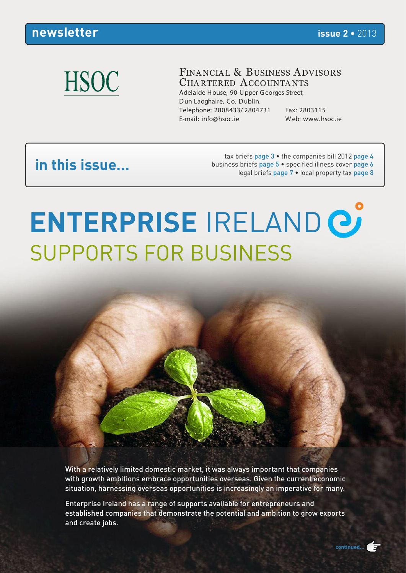### **HSOC**

#### FINANCIAL & BUSINESS ADVISORS CHA RTERED ACCOUNTA NTS

Adelaide H ouse, 90 U pper G eorges Street, D un Laoghaire, Co. D ublin. Telephone: 2808433/ 2804731 Fax: 2803115 E-mail: info@hsoc.ie W eb: www.hsoc.ie

### **in this issue...**

tax briefs page 3 • the companies bill 2012 page 4 business briefs page 5 • specified illness cover page 6 legal briefs page 7 • local property tax page 8

### **ENTERPRISE** IRELAND SUPPORTS FOR BUSINESS

With a relatively limited domestic market, it was always important that companies with growth ambitions embrace opportunities overseas. Given the current economic situation, harnessing overseas opportunities is increasingly an imperative for many.

Enterprise Ireland has a range of supports available for entrepreneurs and established companies that demonstrate the potential and ambition to grow exports and create jobs.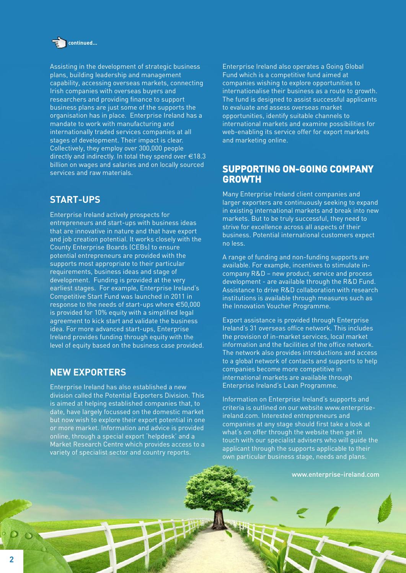

Assisting in the development of strategic business plans, building leadership and management capability, accessing overseas markets, connecting Irish companies with overseas buyers and researchers and providing finance to support business plans are just some of the supports the organisation has in place. Enterprise Ireland has a mandate to work with manufacturing and internationally traded services companies at all stages of development. Their impact is clear. Collectively, they employ over 300,000 people directly and indirectly. In total they spend over  $\in$  18.3 billion on wages and salaries and on locally sourced services and raw materials.

#### **START-UPS**

Enterprise Ireland actively prospects for entrepreneurs and start-ups with business ideas that are innovative in nature and that have export and job creation potential. It works closely with the County Enterprise Boards (CEBs) to ensure potential entrepreneurs are provided with the supports most appropriate to their particular requirements, business ideas and stage of development. Funding is provided at the very earliest stages. For example, Enterprise Ireland's Competitive Start Fund was launched in 2011 in response to the needs of start-ups where €50,000 is provided for 10% equity with a simplified legal agreement to kick start and validate the business idea. For more advanced start-ups, Enterprise Ireland provides funding through equity with the level of equity based on the business case provided.

#### **NEW EXPORTERS**

Enterprise Ireland has also established a new division called the Potential Exporters Division. This is aimed at helping established companies that, to date, have largely focussed on the domestic market but now wish to explore their export potential in one or more market. Information and advice is provided online, through a special export 'helpdesk' and a Market Research Centre which provides access to a variety of specialist sector and country reports.

Enterprise Ireland also operates a Going Global Fund which is a competitive fund aimed at companies wishing to explore opportunities to internationalise their business as a route to growth. The fund is designed to assist successful applicants to evaluate and assess overseas market opportunities, identify suitable channels to international markets and examine possibilities for web-enabling its service offer for export markets and marketing online.

#### **SUPPORTING ON-GOING COMPANY GROWTH**

Many Enterprise Ireland client companies and larger exporters are continuously seeking to expand in existing international markets and break into new markets. But to be truly successful, they need to strive for excellence across all aspects of their business. Potential international customers expect no less.

A range of funding and non-funding supports are available. For example, incentives to stimulate incompany R&D – new product, service and process development - are available through the R&D Fund. Assistance to drive R&D collaboration with research institutions is available through measures such as the Innovation Voucher Programme.

Export assistance is provided through Enterprise Ireland's 31 overseas office network. This includes the provision of in-market services, local market information and the facilities of the office network. The network also provides introductions and access to a global network of contacts and supports to help companies become more competitive in international markets are available through Enterprise Ireland's Lean Programme.

Information on Enterprise Ireland's supports and criteria is outlined on our website www.enterpriseireland.com. Interested entrepreneurs and companies at any stage should first take a look at what's on offer through the website then get in touch with our specialist advisers who will guide the applicant through the supports applicable to their own particular business stage, needs and plans.

www.enterprise-ireland.com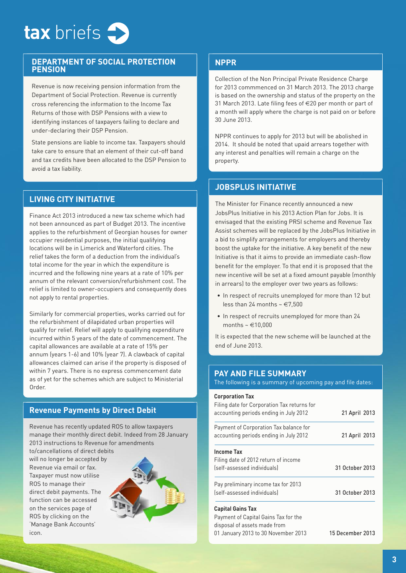

#### **DEPARTMENT OF SOCIAL PROTECTION PENSION**

Revenue is now receiving pension information from the Department of Social Protection. Revenue is currently cross referencing the information to the Income Tax Returns of those with DSP Pensions with a view to identifying instances of taxpayers failing to declare and under-declaring their DSP Pension.

State pensions are liable to income tax. Taxpayers should take care to ensure that an element of their cut-off band and tax credits have been allocated to the DSP Pension to avoid a tax liability.

#### **LIVING CITY INITIATIVE**

Finance Act 2013 introduced a new tax scheme which had not been announced as part of Budget 2013. The incentive applies to the refurbishment of Georgian houses for owner occupier residential purposes, the initial qualifying locations will be in Limerick and Waterford cities. The relief takes the form of a deduction from the individual's total income for the year in which the expenditure is incurred and the following nine years at a rate of 10% per annum of the relevant conversion/refurbishment cost. The relief is limited to owner-occupiers and consequently does not apply to rental properties.

Similarly for commercial properties, works carried out for the refurbishment of dilapidated urban properties will qualify for relief. Relief will apply to qualifying expenditure incurred within 5 years of the date of commencement. The capital allowances are available at a rate of 15% per annum (years 1-6) and 10% (year 7). A clawback of capital allowances claimed can arise if the property is disposed of within 7 years. There is no express commencement date as of yet for the schemes which are subject to Ministerial Order.

#### **Revenue Payments by Direct Debit**

Revenue has recently updated ROS to allow taxpayers manage their monthly direct debit. Indeed from 28 January 2013 instructions to Revenue for amendments

to/cancellations of direct debits will no longer be accepted by Revenue via email or fax. Taxpayer must now utilise ROS to manage their direct debit payments. The function can be accessed on the services page of ROS by clicking on the 'Manage Bank Accounts' icon.



#### **NPPR**

Collection of the Non Principal Private Residence Charge for 2013 commmenced on 31 March 2013. The 2013 charge is based on the ownership and status of the property on the 31 March 2013. Late filing fees of €20 per month or part of a month will apply where the charge is not paid on or before 30 June 2013.

NPPR continues to apply for 2013 but will be abolished in 2014. It should be noted that upaid arrears together with any interest and penalties will remain a charge on the property.

#### **JOBSPLUS INITIATIVE**

The Minister for Finance recently announced a new JobsPlus Initiative in his 2013 Action Plan for Jobs. It is envisaged that the existing PRSI scheme and Revenue Tax Assist schemes will be replaced by the JobsPlus Initiative in a bid to simplify arrangements for employers and thereby boost the uptake for the initiative. A key benefit of the new Initiative is that it aims to provide an immediate cash-flow benefit for the employer. To that end it is proposed that the new incentive will be set at a fixed amount payable (monthly in arrears) to the employer over two years as follows:

- In respect of recruits unemployed for more than 12 but less than 24 months  $\sim \text{\textsterling}7,500$
- In respect of recruits unemployed for more than 24 months  $\sim \text{\textsterling}10.000$

It is expected that the new scheme will be launched at the end of June 2013.

#### **PAY AND FILE SUMMARY**

The following is a summary of upcoming pay and file dates:

| <b>Corporation Tax</b>                      |                 |
|---------------------------------------------|-----------------|
| Filing date for Corporation Tax returns for |                 |
| accounting periods ending in July 2012      | 21 April 2013   |
| Payment of Corporation Tax balance for      |                 |
| accounting periods ending in July 2012      | 21 April 2013   |
| Income Tax                                  |                 |
| Filing date of 2012 return of income        |                 |
| (self-assessed individuals)                 | 31 October 2013 |
| Pay preliminary income tax for 2013         |                 |
| (self-assessed individuals)                 | 31 October 2013 |
| <b>Capital Gains Tax</b>                    |                 |
| Payment of Capital Gains Tax for the        |                 |
|                                             |                 |

disposal of assets made from 01 January 2013 to 30 November 2013 15 December 2013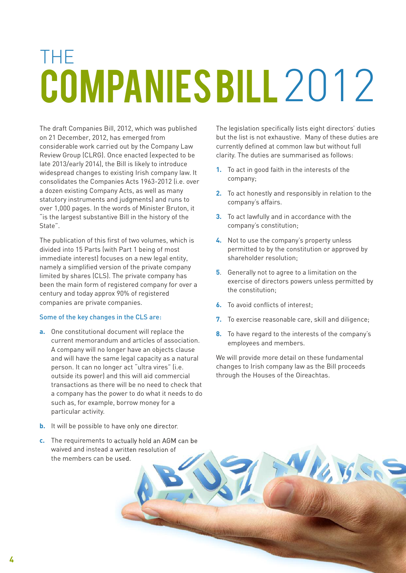## THE COMPANIES BILL 2012

The draft Companies Bill, 2012, which was published on 21 December, 2012, has emerged from considerable work carried out by the Company Law Review Group (CLRG). Once enacted (expected to be late 2013/early 2014), the Bill is likely to introduce widespread changes to existing Irish company law. It consolidates the Companies Acts 1963-2012 (i.e. over a dozen existing Company Acts, as well as many statutory instruments and judgments) and runs to over 1,000 pages. In the words of Minister Bruton, it "is the largest substantive Bill in the history of the State".

The publication of this first of two volumes, which is divided into 15 Parts (with Part 1 being of most immediate interest) focuses on a new legal entity, namely a simplified version of the private company limited by shares (CLS). The private company has been the main form of registered company for over a century and today approx 90% of registered companies are private companies.

#### Some of the key changes in the CLS are:

**a.** One constitutional document will replace the current memorandum and articles of association. A company will no longer have an objects clause and will have the same legal capacity as a natural person. It can no longer act "ultra vires" (i.e. outside its power) and this will aid commercial transactions as there will be no need to check that a company has the power to do what it needs to do such as, for example, borrow money for a particular activity.

The legislation specifically lists eight directors' duties but the list is not exhaustive. Many of these duties are currently defined at common law but without full clarity. The duties are summarised as follows:

- **1.** To act in good faith in the interests of the company;
- **2.** To act honestly and responsibly in relation to the company's affairs.
- **3.** To act lawfully and in accordance with the company's constitution;
- **4.** Not to use the company's property unless permitted to by the constitution or approved by shareholder resolution;
- **5**. Generally not to agree to a limitation on the exercise of directors powers unless permitted by the constitution;
- **6.** To avoid conflicts of interest;
- **7.** To exercise reasonable care, skill and diligence;
- **8.** To have regard to the interests of the company's employees and members.

We will provide more detail on these fundamental changes to Irish company law as the Bill proceeds through the Houses of the Oireachtas.

- **b.** It will be possible to have only one director.
- **c.** The requirements to actually hold an AGM can be waived and instead a written resolution of the members can be used.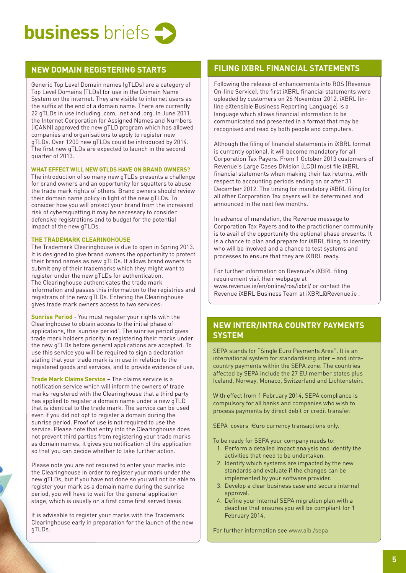

#### **NEW DOMAIN REGISTERING STARTS**

Generic Top Level Domain names (gTLDs) are a category of Top Level Domains (TLDs) for use in the Domain Name System on the internet. They are visible to internet users as the suffix at the end of a domain name. There are currently 22 gTLDs in use including .com, .net and .org. In June 2011 the Internet Corporation for Assigned Names and Numbers (ICANN) approved the new gTLD program which has allowed companies and organisations to apply to register new gTLDs. Over 1200 new gTLDs could be introduced by 2014. The first new gTLDs are expected to launch in the second quarter of 2013.

#### **WHAT EFFECT WILL NEW GTLDS HAVE ON BRAND OWNERS?**

The introduction of so many new gTLDs presents a challenge for brand owners and an opportunity for squatters to abuse the trade mark rights of others. Brand owners should review their domain name policy in light of the new gTLDs. To consider how you will protect your brand from the increased risk of cybersquatting it may be necessary to consider defensive registrations and to budget for the potential impact of the new gTLDs.

#### **THE TRADEMARK CLEARINGHOUSE**

The Trademark Clearinghouse is due to open in Spring 2013. It is designed to give brand owners the opportunity to protect their brand names as new gTLDs. It allows brand owners to submit any of their trademarks which they might want to register under the new gTLDs for authentication. The Clearinghouse authenticates the trade mark information and passes this information to the registries and registrars of the new gTLDs. Entering the Clearinghouse gives trade mark owners access to two services:

**Sunrise Period** - You must register your rights with the Clearinghouse to obtain access to the initial phase of applications, the 'sunrise period'. The sunrise period gives trade mark holders priority in registering their marks under the new gTLDs before general applications are accepted. To use this service you will be required to sign a declaration stating that your trade mark is in use in relation to the registered goods and services, and to provide evidence of use.

**Trade Mark Claims Service** – The claims service is a notification service which will inform the owners of trade marks registered with the Clearinghouse that a third party has applied to register a domain name under a new gTLD that is identical to the trade mark. The service can be used even if you did not opt to register a domain during the sunrise period. Proof of use is not required to use the service. Please note that entry into the Clearinghouse does not prevent third parties from registering your trade marks as domain names, it gives you notification of the application so that you can decide whether to take further action.

Please note you are not required to enter your marks into the Clearinghouse in order to register your mark under the new gTLDs, but if you have not done so you will not be able to register your mark as a domain name during the sunrise period, you will have to wait for the general application stage, which is usually on a first come first served basis.

It is advisable to register your marks with the Trademark Clearinghouse early in preparation for the launch of the new gTLDs.

#### **FILING IXBRL FINANCIAL STATEMENTS**

Following the release of enhancements into ROS (Revenue On-line Service), the first iXBRL financial statements were uploaded by customers on 26 November 2012. iXBRL (inline eXtensible Business Reporting Language) is a language which allows financial information to be communicated and presented in a format that may be recognised and read by both people and computers.

Although the filing of financial statements in iXBRL format is currently optional, it will become mandatory for all Corporation Tax Payers. From 1 October 2013 customers of Revenue's Large Cases Division (LCD) must file iXBRL financial statements when making their tax returns, with respect to accounting periods ending on or after 31 December 2012. The timing for mandatory iXBRL filing for all other Corporation Tax payers will be determined and announced in the next few months.

In advance of mandation, the Revenue message to Corporation Tax Payers and to the practictioner community is to avail of the opportunity the optional phase presents. It is a chance to plan and prepare for iXBRL filing, to identify who will be involved and a chance to test systems and processes to ensure that they are iXBRL ready.

For further information on Revenue's iXBRL filing requirement visit their webpage at www.revenue.ie/en/online/ros/ixbrl/ or contact the Revenue iXBRL Business Team at iXBRL@Revenue.ie .

#### **NEW INTER/INTRA COUNTRY PAYMENTS SYSTEM**

SEPA stands for "Single Euro Payments Area". It is an international system for standardising inter – and intracountry payments within the SEPA zone. The countries affected by SEPA include the 27 EU member states plus Iceland, Norway, Monaco, Switzerland and Lichtenstein.

With effect from 1 February 2014, SEPA compliance is compulsory for all banks and companies who wish to process payments by direct debit or credit transfer.

SEPA covers €uro currency transactions only.

To be ready for SEPA your company needs to:

- 1. Perform a detailed impact analysis and identify the activities that need to be undertaken.
- 2. Identify which systems are impacted by the new standards and evaluate if the changes can be implemented by your software provider.
- 3. Develop a clear business case and secure internal approval.
- 4. Define your internal SEPA migration plan with a deadline that ensures you will be compliant for 1 February 2014.

For further information see www.aib./sepa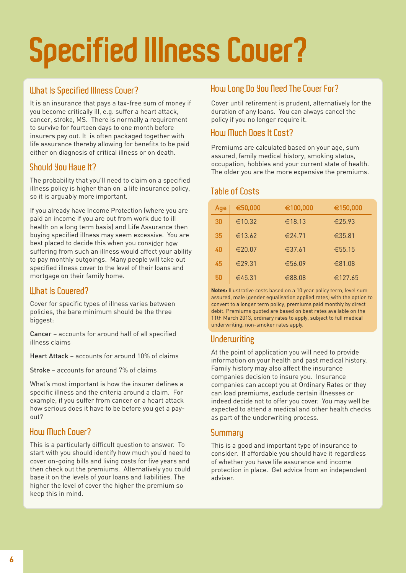# **Specified Illness Cover?**

#### **What Is Specified Illness Cover?**

It is an insurance that pays a tax-free sum of money if you become critically ill, e.g. suffer a heart attack, cancer, stroke, MS. There is normally a requirement to survive for fourteen days to one month before insurers pay out. It is often packaged together with life assurance thereby allowing for benefits to be paid either on diagnosis of critical illness or on death.

#### **Should You Have It?**

The probability that you'll need to claim on a specified illness policy is higher than on a life insurance policy, so it is arguably more important.

If you already have Income Protection (where you are paid an income if you are out from work due to ill health on a long term basis) and Life Assurance then buying specified illness may seem excessive. You are best placed to decide this when you consider how suffering from such an illness would affect your ability to pay monthly outgoings. Many people will take out specified illness cover to the level of their loans and mortgage on their family home.

#### **What Is Covered?**

Cover for specific types of illness varies between policies, the bare minimum should be the three biggest:

Cancer – accounts for around half of all specified illness claims

Heart Attack – accounts for around 10% of claims

Stroke – accounts for around 7% of claims

What's most important is how the insurer defines a specific illness and the criteria around a claim. For example, if you suffer from cancer or a heart attack how serious does it have to be before you get a payout?

#### **How Much Cover?**

This is a particularly difficult question to answer. To start with you should identify how much you'd need to cover on-going bills and living costs for five years and then check out the premiums. Alternatively you could base it on the levels of your loans and liabilities. The higher the level of cover the higher the premium so keep this in mind.

#### **How Long Do You Need The Cover For?**

Cover until retirement is prudent, alternatively for the duration of any loans. You can always cancel the policy if you no longer require it.

#### **How Much Does It Cost?**

Premiums are calculated based on your age, sum assured, family medical history, smoking status, occupation, hobbies and your current state of health. The older you are the more expensive the premiums.

#### **Table of Costs**

| Age | €50,000          | €100,000 | €150,000         |
|-----|------------------|----------|------------------|
| 30  | €10.32           | €18.13   | $\epsilon$ 25.93 |
| 35  | €13.62           | €24.71   | €35.81           |
| 40  | €20.07           | €37.61   | €55.15           |
| 45  | $\epsilon$ 29.31 | €56.09   | €81.08           |
| 50  | €45.31           | €88.08   | €127.65          |

**Notes:** Illustrative costs based on a 10 year policy term, level sum assured, male (gender equalisation applied rates) with the option to convert to a longer term policy, premiums paid monthly by direct debit. Premiums quoted are based on best rates available on the 11th March 2013, ordinary rates to apply, subject to full medical underwriting, non-smoker rates apply.

#### **Underwriting**

At the point of application you will need to provide information on your health and past medical history. Family history may also affect the insurance companies decision to insure you. Insurance companies can accept you at Ordinary Rates or they can load premiums, exclude certain illnesses or indeed decide not to offer you cover. You may well be expected to attend a medical and other health checks as part of the underwriting process.

#### **Summary**

This is a good and important type of insurance to consider. If affordable you should have it regardless of whether you have life assurance and income protection in place. Get advice from an independent adviser.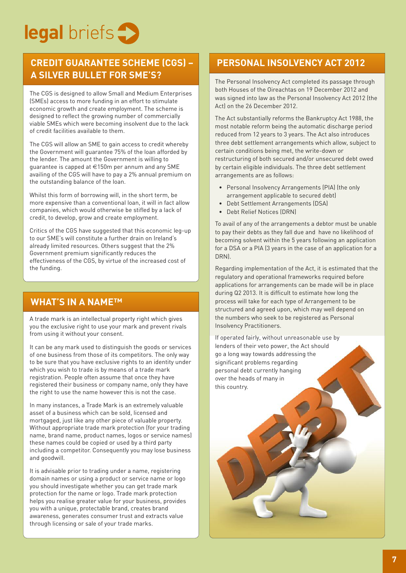

#### **CREDIT GUARANTEE SCHEME (CGS) – A SILVER BULLET FOR SME'S?**

The CGS is designed to allow Small and Medium Enterprises (SMEs) access to more funding in an effort to stimulate economic growth and create employment. The scheme is designed to reflect the growing number of commercially viable SMEs which were becoming insolvent due to the lack of credit facilities available to them.

The CGS will allow an SME to gain access to credit whereby the Government will guarantee 75% of the loan afforded by the lender. The amount the Government is willing to guarantee is capped at €150m per annum and any SME availing of the CGS will have to pay a 2% annual premium on the outstanding balance of the loan.

Whilst this form of borrowing will, in the short term, be more expensive than a conventional loan, it will in fact allow companies, which would otherwise be stifled by a lack of credit, to develop, grow and create employment.

Critics of the CGS have suggested that this economic leg-up to our SME's will constitute a further drain on Ireland's already limited resources. Others suggest that the 2% Government premium significantly reduces the effectiveness of the CGS, by virtue of the increased cost of the funding.

#### **WHAT'S IN A NAME™**

A trade mark is an intellectual property right which gives you the exclusive right to use your mark and prevent rivals from using it without your consent.

It can be any mark used to distinguish the goods or services of one business from those of its competitors. The only way to be sure that you have exclusive rights to an identity under which you wish to trade is by means of a trade mark registration. People often assume that once they have registered their business or company name, only they have the right to use the name however this is not the case.

In many instances, a Trade Mark is an extremely valuable asset of a business which can be sold, licensed and mortgaged, just like any other piece of valuable property. Without appropriate trade mark protection (for your trading name, brand name, product names, logos or service names) these names could be copied or used by a third party including a competitor. Consequently you may lose business and goodwill.

It is advisable prior to trading under a name, registering domain names or using a product or service name or logo you should investigate whether you can get trade mark protection for the name or logo. Trade mark protection helps you realise greater value for your business, provides you with a unique, protectable brand, creates brand awareness, generates consumer trust and extracts value through licensing or sale of your trade marks.

#### **PERSONAL INSOLVENCY ACT 2012**

The Personal Insolvency Act completed its passage through both Houses of the Oireachtas on 19 December 2012 and was signed into law as the Personal Insolvency Act 2012 (the Act) on the 26 December 2012.

The Act substantially reforms the Bankruptcy Act 1988, the most notable reform being the automatic discharge period reduced from 12 years to 3 years. The Act also introduces three debt settlement arrangements which allow, subject to certain conditions being met, the write-down or restructuring of both secured and/or unsecured debt owed by certain eligible individuals. The three debt settlement arrangements are as follows:

- Personal Insolvency Arrangements (PIA) (the only arrangement applicable to secured debt)
- Debt Settlement Arrangements (DSA)
- Debt Relief Notices (DRN)

To avail of any of the arrangements a debtor must be unable to pay their debts as they fall due and have no likelihood of becoming solvent within the 5 years following an application for a DSA or a PIA (3 years in the case of an application for a DRN).

Regarding implementation of the Act, it is estimated that the regulatory and operational frameworks required before applications for arrangements can be made will be in place during Q2 2013. It is difficult to estimate how long the process will take for each type of Arrangement to be structured and agreed upon, which may well depend on the numbers who seek to be registered as Personal Insolvency Practitioners.

If operated fairly, without unreasonable use by lenders of their veto power, the Act should go a long way towards addressing the significant problems regarding personal debt currently hanging over the heads of many in this country.